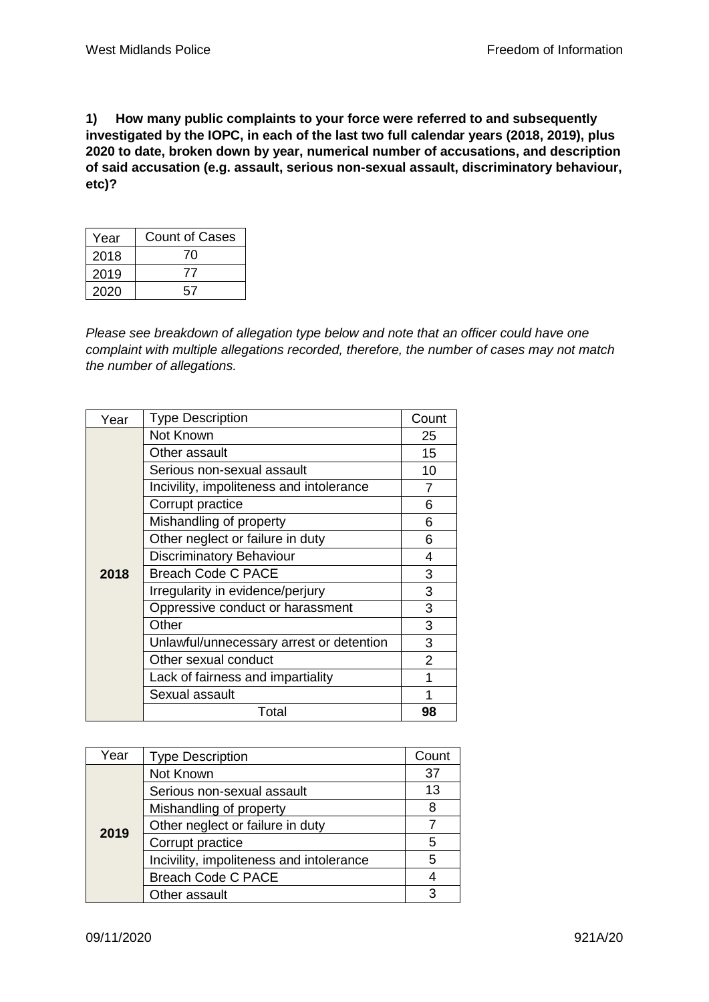**1) How many public complaints to your force were referred to and subsequently investigated by the IOPC, in each of the last two full calendar years (2018, 2019), plus 2020 to date, broken down by year, numerical number of accusations, and description of said accusation (e.g. assault, serious non-sexual assault, discriminatory behaviour, etc)?**

| Year | Count of Cases |
|------|----------------|
| 2018 | 70             |
| 2019 | ,,             |
| 2020 | 57             |

*Please see breakdown of allegation type below and note that an officer could have one complaint with multiple allegations recorded, therefore, the number of cases may not match the number of allegations.*

| Year | <b>Type Description</b>                  | Count |
|------|------------------------------------------|-------|
|      | Not Known                                | 25    |
|      | Other assault                            | 15    |
|      | Serious non-sexual assault               | 10    |
|      | Incivility, impoliteness and intolerance | 7     |
|      | Corrupt practice                         | 6     |
|      | Mishandling of property                  | 6     |
|      | Other neglect or failure in duty         | 6     |
|      | Discriminatory Behaviour                 | 4     |
| 2018 | <b>Breach Code C PACE</b>                | 3     |
|      | Irregularity in evidence/perjury         | 3     |
|      | Oppressive conduct or harassment         | 3     |
|      | Other                                    | 3     |
|      | Unlawful/unnecessary arrest or detention | 3     |
|      | Other sexual conduct                     | 2     |
|      | Lack of fairness and impartiality        | 1     |
|      | Sexual assault                           |       |
|      | Total                                    | 98    |

| Year | <b>Type Description</b>                  | Count |
|------|------------------------------------------|-------|
| 2019 | Not Known                                | 37    |
|      | Serious non-sexual assault               | 13    |
|      | Mishandling of property                  | 8     |
|      | Other neglect or failure in duty         |       |
|      | Corrupt practice                         | 5     |
|      | Incivility, impoliteness and intolerance | 5     |
|      | <b>Breach Code C PACE</b>                |       |
|      | Other assault                            |       |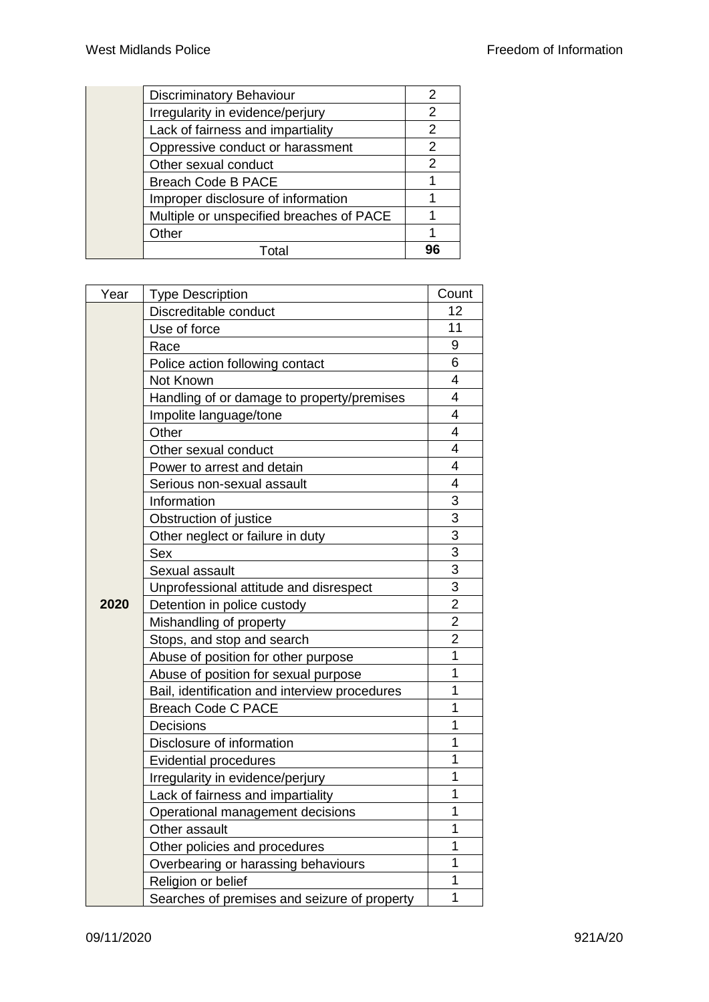| <b>Discriminatory Behaviour</b>          |    |
|------------------------------------------|----|
| Irregularity in evidence/perjury         | 2  |
| Lack of fairness and impartiality        | 2  |
| Oppressive conduct or harassment         | 2  |
| Other sexual conduct                     | 2  |
| <b>Breach Code B PACE</b>                |    |
| Improper disclosure of information       |    |
| Multiple or unspecified breaches of PACE |    |
| Other                                    |    |
| Total                                    | 96 |
|                                          |    |

| Year | <b>Type Description</b>                       | Count          |
|------|-----------------------------------------------|----------------|
|      | Discreditable conduct                         | 12             |
|      | Use of force                                  | 11             |
|      | Race                                          | 9              |
|      | Police action following contact               | 6              |
|      | Not Known                                     | 4              |
|      | Handling of or damage to property/premises    | 4              |
|      | Impolite language/tone                        | 4              |
|      | Other                                         | 4              |
|      | Other sexual conduct                          | 4              |
|      | Power to arrest and detain                    | 4              |
|      | Serious non-sexual assault                    | 4              |
|      | Information                                   | 3              |
|      | Obstruction of justice                        | 3              |
|      | Other neglect or failure in duty              | 3              |
|      | Sex                                           | 3              |
|      | Sexual assault                                | 3              |
|      | Unprofessional attitude and disrespect        | 3              |
| 2020 | Detention in police custody                   | $\overline{2}$ |
|      | Mishandling of property                       | $\overline{2}$ |
|      | Stops, and stop and search                    | $\overline{2}$ |
|      | Abuse of position for other purpose           | $\overline{1}$ |
|      | Abuse of position for sexual purpose          | 1              |
|      | Bail, identification and interview procedures | 1              |
|      | <b>Breach Code C PACE</b>                     | 1              |
|      | Decisions                                     | 1              |
|      | Disclosure of information                     | 1              |
|      | <b>Evidential procedures</b>                  | 1              |
|      | Irregularity in evidence/perjury              | 1              |
|      | Lack of fairness and impartiality             | 1              |
|      | Operational management decisions              | 1              |
|      | Other assault                                 | 1              |
|      | Other policies and procedures                 | 1              |
|      | Overbearing or harassing behaviours           | 1              |
|      | Religion or belief                            | 1              |
|      | Searches of premises and seizure of property  | 1              |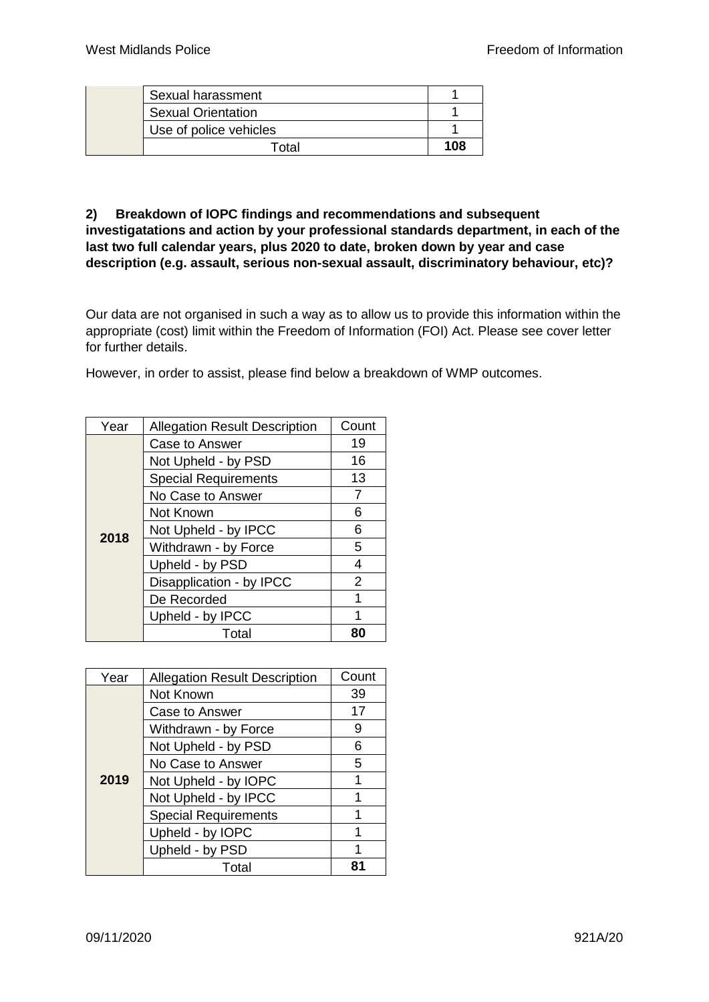| Sexual harassment         |     |
|---------------------------|-----|
| <b>Sexual Orientation</b> |     |
| Use of police vehicles    |     |
| Total                     | 108 |

## **2) Breakdown of IOPC findings and recommendations and subsequent investigatations and action by your professional standards department, in each of the last two full calendar years, plus 2020 to date, broken down by year and case description (e.g. assault, serious non-sexual assault, discriminatory behaviour, etc)?**

Our data are not organised in such a way as to allow us to provide this information within the appropriate (cost) limit within the Freedom of Information (FOI) Act. Please see cover letter for further details.

However, in order to assist, please find below a breakdown of WMP outcomes.

| Year | <b>Allegation Result Description</b> | Count          |
|------|--------------------------------------|----------------|
|      | Case to Answer                       | 19             |
|      | Not Upheld - by PSD                  | 16             |
|      | <b>Special Requirements</b>          | 13             |
|      | No Case to Answer                    | 7              |
|      | Not Known                            | 6              |
| 2018 | Not Upheld - by IPCC                 | 6              |
|      | Withdrawn - by Force                 | 5              |
|      | Upheld - by PSD                      | 4              |
|      | Disapplication - by IPCC             | $\overline{2}$ |
|      | De Recorded                          | 1              |
|      | Upheld - by IPCC                     | 1              |
|      | Total                                | 80             |

| Year | <b>Allegation Result Description</b> | Count |
|------|--------------------------------------|-------|
|      | Not Known                            | 39    |
|      | Case to Answer                       | 17    |
|      | Withdrawn - by Force                 | 9     |
| 2019 | Not Upheld - by PSD                  | 6     |
|      | No Case to Answer                    | 5     |
|      | Not Upheld - by IOPC                 | 1     |
|      | Not Upheld - by IPCC                 |       |
|      | <b>Special Requirements</b>          | 1     |
|      | Upheld - by IOPC                     |       |
|      | Upheld - by PSD                      |       |
|      | Total                                |       |